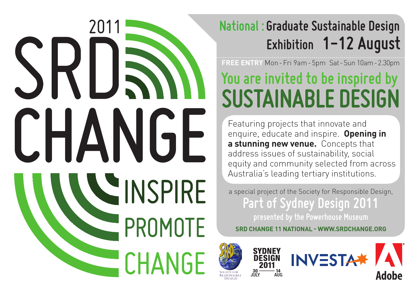

### **Exhibition 1-12 August National : Graduate Sustainable Design**

**FREE ENTRY** Mon - Fri 9am - 5pm Sat - Sun 10am - 2.30pm

# **You are invited to be inspired by SUSTAINABLE DESIGN**

Featuring projects that innovate and enquire, educate and inspire. **Opening in a stunning new venue.** Concepts that address issues of sustainability, social equity and community selected from across Australia's leading tertiary institutions.

a special project of the Society for Responsible Design, **Part of Sydney Design 2011**

 **SRD CHANGE 11 NATIONAL - WWW.SRDCHANGE.ORG**